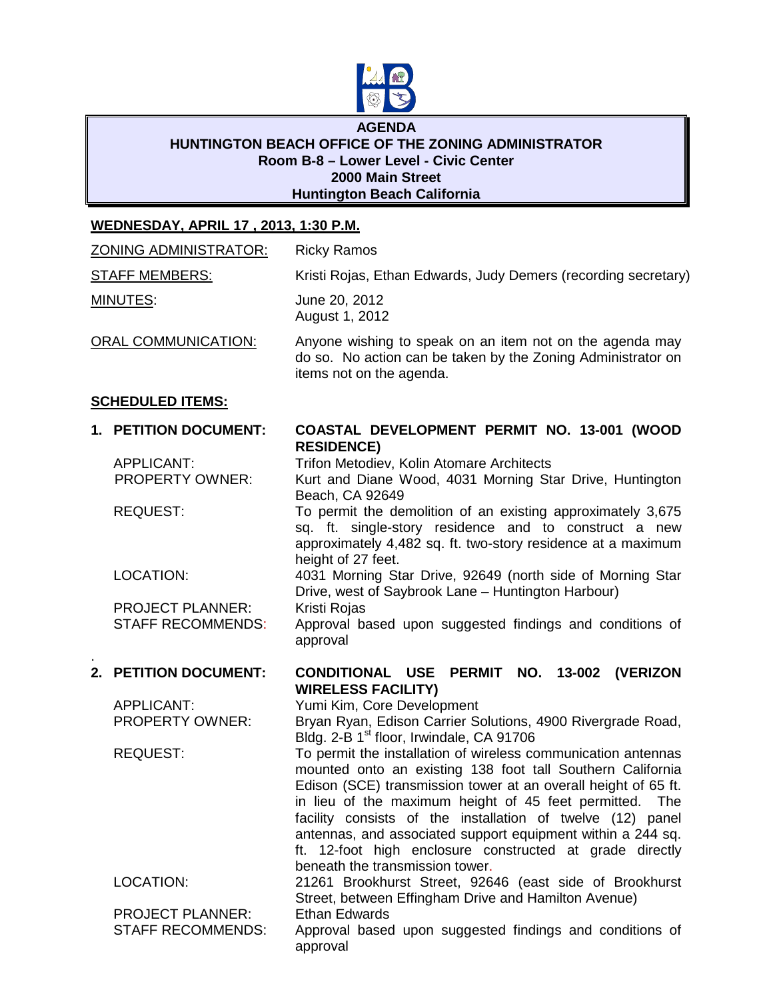

## **AGENDA HUNTINGTON BEACH OFFICE OF THE ZONING ADMINISTRATOR Room B-8 – Lower Level - Civic Center 2000 Main Street Huntington Beach California**

## **WEDNESDAY, APRIL 17 , 2013, 1:30 P.M.**

| <b>ZONING ADMINISTRATOR:</b> |                                                     | <b>Ricky Ramos</b>                                                                                                                                                                                                                                                                                                                                                                                                                                                                      |
|------------------------------|-----------------------------------------------------|-----------------------------------------------------------------------------------------------------------------------------------------------------------------------------------------------------------------------------------------------------------------------------------------------------------------------------------------------------------------------------------------------------------------------------------------------------------------------------------------|
| <b>STAFF MEMBERS:</b>        |                                                     | Kristi Rojas, Ethan Edwards, Judy Demers (recording secretary)                                                                                                                                                                                                                                                                                                                                                                                                                          |
| <b>MINUTES:</b>              |                                                     | June 20, 2012<br>August 1, 2012                                                                                                                                                                                                                                                                                                                                                                                                                                                         |
| <b>ORAL COMMUNICATION:</b>   |                                                     | Anyone wishing to speak on an item not on the agenda may<br>do so. No action can be taken by the Zoning Administrator on<br>items not on the agenda.                                                                                                                                                                                                                                                                                                                                    |
|                              | <b>SCHEDULED ITEMS:</b>                             |                                                                                                                                                                                                                                                                                                                                                                                                                                                                                         |
|                              | 1. PETITION DOCUMENT:                               | COASTAL DEVELOPMENT PERMIT NO. 13-001 (WOOD                                                                                                                                                                                                                                                                                                                                                                                                                                             |
|                              | <b>APPLICANT:</b><br>PROPERTY OWNER:                | <b>RESIDENCE)</b><br>Trifon Metodiev, Kolin Atomare Architects<br>Kurt and Diane Wood, 4031 Morning Star Drive, Huntington<br>Beach, CA 92649                                                                                                                                                                                                                                                                                                                                           |
|                              | <b>REQUEST:</b>                                     | To permit the demolition of an existing approximately 3,675<br>sq. ft. single-story residence and to construct a new<br>approximately 4,482 sq. ft. two-story residence at a maximum                                                                                                                                                                                                                                                                                                    |
|                              | LOCATION:                                           | height of 27 feet.<br>4031 Morning Star Drive, 92649 (north side of Morning Star<br>Drive, west of Saybrook Lane - Huntington Harbour)                                                                                                                                                                                                                                                                                                                                                  |
|                              | <b>PROJECT PLANNER:</b><br><b>STAFF RECOMMENDS:</b> | Kristi Rojas<br>Approval based upon suggested findings and conditions of<br>approval                                                                                                                                                                                                                                                                                                                                                                                                    |
|                              | 2. PETITION DOCUMENT:                               | CONDITIONAL USE PERMIT NO. 13-002 (VERIZON<br><b>WIRELESS FACILITY)</b>                                                                                                                                                                                                                                                                                                                                                                                                                 |
|                              | <b>APPLICANT:</b><br>PROPERTY OWNER:                | Yumi Kim, Core Development<br>Bryan Ryan, Edison Carrier Solutions, 4900 Rivergrade Road,<br>Bldg. 2-B 1 <sup>st</sup> floor, Irwindale, CA 91706                                                                                                                                                                                                                                                                                                                                       |
|                              | <b>REQUEST:</b>                                     | To permit the installation of wireless communication antennas<br>mounted onto an existing 138 foot tall Southern California<br>Edison (SCE) transmission tower at an overall height of 65 ft.<br>in lieu of the maximum height of 45 feet permitted.<br>The<br>facility consists of the installation of twelve (12) panel<br>antennas, and associated support equipment within a 244 sq.<br>ft. 12-foot high enclosure constructed at grade directly<br>beneath the transmission tower. |
|                              | LOCATION:                                           | 21261 Brookhurst Street, 92646 (east side of Brookhurst<br>Street, between Effingham Drive and Hamilton Avenue)                                                                                                                                                                                                                                                                                                                                                                         |
|                              | <b>PROJECT PLANNER:</b><br><b>STAFF RECOMMENDS:</b> | <b>Ethan Edwards</b><br>Approval based upon suggested findings and conditions of<br>approval                                                                                                                                                                                                                                                                                                                                                                                            |